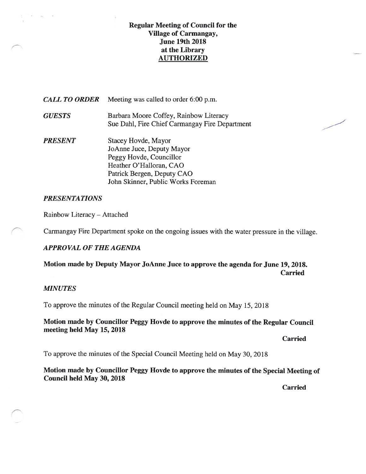## Regular Meeting of Council for the Village of Carmangay, June 19th 201\$ at the Library AUTHORIZED

| <b>CALL TO ORDER</b> | Meeting was called to order 6:00 p.m.                                                                                                |
|----------------------|--------------------------------------------------------------------------------------------------------------------------------------|
| <b>GUESTS</b>        | Barbara Moore Coffey, Rainbow Literacy<br>Sue Dahl, Fire Chief Carmangay Fire Department                                             |
| <b>PRESENT</b>       | Stacey Hovde, Mayor<br>JoAnne Juce, Deputy Mayor<br>Peggy Hovde, Councillor<br>Heather O'Halloran, CAO<br>Patrick Bergen, Deputy CAO |

John Skinner, Public Works Foreman

## PRESENTATIONS

 $\sim$ 

Rainbow Literacy — Attached

Carmangay Fire Department spoke on the ongoing issues with the water pressure in the village.

## APPROVAL OF THE AGENDA

Motion made by Deputy Mayor JoAnne Juce to approve the agenda for June 19, 2018. **Carried** 

## **MINUTES**

To approve the minutes of the Regular Council meeting held on May 15, 2018

## Motion made by Councillor Peggy Hovde to approve the minutes of the Regular Council meeting held May 15, 2018

Carried

To approve the minutes of the Special Council Meeting held on May 30, 2018

Motion made by Councillor Peggy Hovde to approve the minutes of the Special Meeting of Council held May 30, 2018

Carried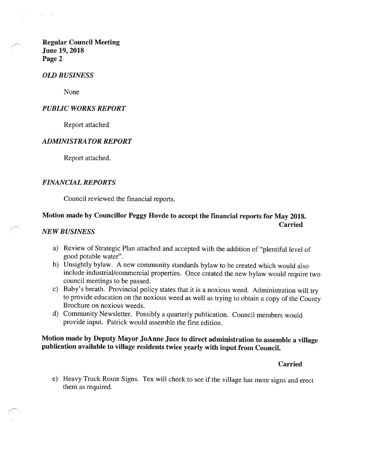Regular Council Meeting June 19, 2018 Page 2

#### OLD BUSINESS

None

#### PUBLIC WORKS REPORT

Report attached

#### ADMINISTRATOR REPORT

Report attached.

#### FINANCIAL REPORTS

Council reviewed the financial reports.

## Motion made by Councillor Peggy Hovde to accept the financial reports for May 201\$. Carried

## NEW BUSINESS

- a) Review of Strategic Plan attached and accepted with the addition of "plentiful level of good potable water".
- b) Unsightly bylaw. <sup>A</sup> new community standards bylaw to be created which would also include industrial/commercial properties. Once created the new bylaw would require two council meetings to be passed.
- c) Baby's breath. Provincial policy states that it is <sup>a</sup> noxious weed. Administration will try to provide education on the noxious weed as well as trying to obtain <sup>a</sup> copy of the County Brochure on noxious weeds.
- d) Community Newsletter. Possibly <sup>a</sup> quarterly publication. Council members would provide input. Patrick would assemble the first edition.

## Motion made by Deputy Mayor JoAnne Juce to direct administration to assemble <sup>a</sup> village publication available to village residents twice yearly with input from Council.

#### Carried

e) Heavy Truck Route Signs. Tex will check to see if the village has more signs and erect them as required.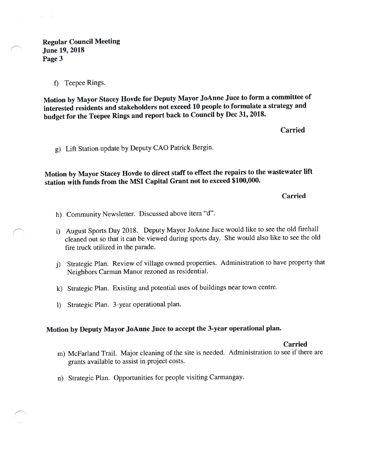$x = x^2$ 

f) Teepee Rings.

Motion by Mayor Stacey flovde for Deputy Mayor JoAnne Juce to form <sup>a</sup> committee of interested residents and stakeholders not exceed <sup>10</sup> people to formulate <sup>a</sup> strategy and budget for the Teepee Rings and repor<sup>t</sup> back to Council by Dec 31, 2018.

Carried

g) Lift Station update by Deputy CAO Patrick Bergin.

Motion by Mayor Stacey Hovde to direct staff to effect the repairs to the wastewater lift station with funds from the MSI Capital Grant not to exceed \$100,000.

Carried

- h) Community Newsletter. Discussed above item "U".
- 1) August Sports Day 2018. Deputy Mayor JoAnne Juce would like to see the old firehall cleaned out so that it can be viewed during sports day. She would also like to see the old fire truck utilized in the parade.
- j) Strategic Plan. Review of village owned properties. Administration to have property that Neighbors Carman Manor rezoned as residential.
- k) Strategic Plan. Existing and potential uses of buildings near town centre.
- 1) Strategic Plan. 3-year operational <sup>p</sup>lan.

## Motion by Deputy Mayor JoAnne Juce to accep<sup>t</sup> the 3-year operational <sup>p</sup>lan.

Carried

- m) McFarland Trail. Major cleaning of the site is needed. Administration to see if there are grants available to assist in project costs.
- n) Strategic Plan. Opportunities for people visiting Carmangay.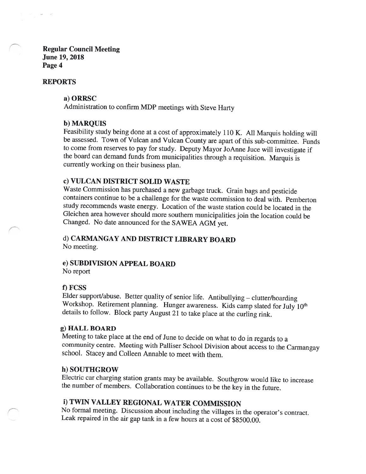Regular Council Meeting June 19, 201\$ Page 4

#### REPORTS

#### a) ORRSC

Administration to confirm MDP meetings with Steve Harty

#### b) MARQUIS

Feasibility study being done at <sup>a</sup> cost of approximately <sup>110</sup> K. All Marquis holding will be assessed. Town of Vulcan and Vulcan County are apart of this sub-committee. Funds to come from reserves to pay for study. Deputy Mayor JoAnne Juce will investigate if the board can demand funds from municipalities through <sup>a</sup> requisition. Marquis is currently working on their business <sup>p</sup>lan.

## c) VULCAN DISTRICT SOLID WASTE

Waste Commission has purchased <sup>a</sup> new garbage truck. Grain bags and pesticide containers continue to be <sup>a</sup> challenge for the waste commission to deal with. Pemberton study recommends waste energy. Location of the waste station could be located in the Gleichen area however should more southern municipalities join the location could be Changed. No date announced for the SAWEA AGM yet.

## d) CARMANGAY AND DISTRICT LIBRARY BOARD No meeting.

## e) SUBDIVISION APPEAL BOARD

No report

#### 1) FCSS

Elder support/abuse. Better quality of senior life. Antibullying — clutter/hoarding Workshop. Retirement planning. Hunger awareness. Kids camp slated for July 10<sup>th</sup> details to follow. Block party August <sup>21</sup> to take <sup>p</sup>lace at the curling rink.

#### g) HALL BOARD

Meeting to take <sup>p</sup>lace at the end of June to decide on what to do in regards to <sup>a</sup> community centre, Meeting with Palliser School Division about access to the Carmangay school. Stacey and Coileen Annable to meet with them.

#### h) SOUTHGROW

Electric car charging station grants may be available. Southgrow would like to increase the number of members. Collaboration continues to be the key in the future.

# 1) TWIN VALLEY REGIONAL WATER COMMISSION

No formal meeting. Discussion about including the villages in the operator's contract. Leak repaired in the air gap tank in <sup>a</sup> few hours at <sup>a</sup> cost of \$8500.00.